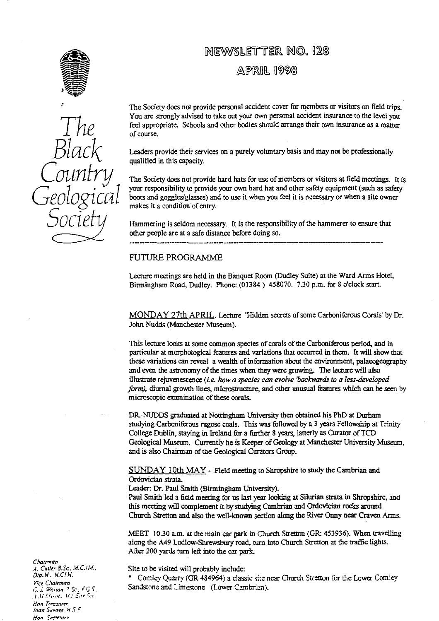

*The Black Country Geological* SOC

# NEWSLETTER NOO. 128  $APRIR$  1998

The Society does not provide personal accident cover for members or visitors on field trips. You are strongly advised to take out your own personal accident insurance to the Ievel you feel appropriate. Schools and other bodies should arrange their **own** insurance as a matter of course.

Leaders provide their services on a purely voluntary basis and may not be professionally qualified in this capacity.

The Society does not provide hard hats for use of members or visitors at field meetings. It is your responsibility to provide your own hard hat and other safety equipment (such as safety boots and goggles/glasses) and to use it when you feel it is necessary or when a site owner makes it a condition of ent**ry**.

Hammering is seldom necessary. It is the responsibility of the hammerer to ensure that other people are at a safe distance before doing so.

#### FUTURE PROGRAMME

Lecture meetings are held in the Banquet Room (Dudley Suite) at the Ward Arms Hotel, Birmingham Road, Dudley. Phone: (01384) 458070. 7.30 p.m. for 8 o'clock start.

MONDAY 27th APRIL . Lecture 'Hidden secrets of some Carboniferous Corals' by Dr. John Nudds (Manchester Museum).

This lecture looks at some common species of corals of the Carboniferous period, and in particular at morphological features and variations that occurred in them. It will show that these variations c**an** reveal a wealth of information about the environment, palaeogeography and even the astronomy of the times when they were growing. The lecture will also illustrate rejuvenescence (i. e. *how a species can evolve 'backwards to a less-developed form)*, diurnal growth lines, microstructure, and other unusual features which can be seen by microscopic examination of these corals.

DR-NUDDS graduated at Nottingham University then obtained his PhD at Durham studying Carboniferous rugose coals. This was followed by a 3 years Fellowship at Trinity College Dublin, staying in Ireland for a fiuther 8 years, latterly as Curator **of** TCD Geological Museum. Currently he is Keeper of Geology at Manchester University Museum, and is also Chairman of the Geological Curators Group.

SUNDAY 10th MAY - Field meeting to Shropshire to study the Cambrian and Ordovician strata\_

Leader: Dr. Paul Smith (Birmingham University).

Paul Smith led a field meeting for us last year looking at Silurian strata in Shropshire, and this meeting will complement it by studying Cambrian and Ordovician rocks around Church Stretton and also the well-known section along the River Onny near Craven Arms.

MEET 10.30 a.m. at the main car park in Church Stretton (GR: 453936). When travelling along the A49 Ludlow-Shrewsbury road, tu**rn** into Church Stretton at the **traffic** lights. After 200 yards turn left into the car park.

Site to be visited will probably include:

Cornley Quarry (GR 484964) a classic site near Church Stretton for the Lower Comley Sandstone and Limestone (Lower Cambrian).

Chairman **A. Cutler 8.Sc., M.C.I.W.** *prp..N. 41.Cf.YI.* Vice *CCaerrnan r J. %*3*a'ron* q .Sr , *F,1. S.. flan rr.asurnr loan* Savaq- W .1. F Hon. Serrear,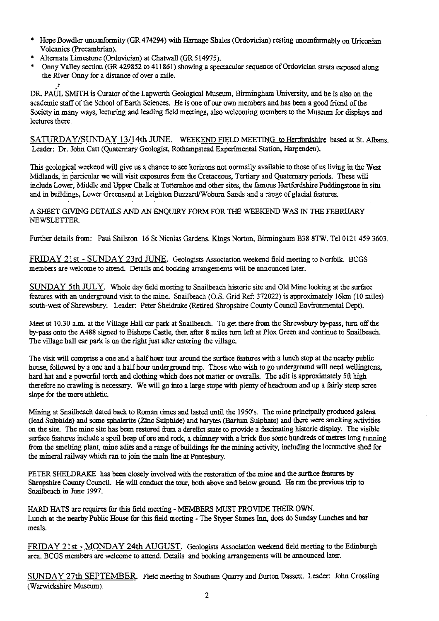- \* Hope Bowdler unconformity (GR 474294) with Harnage Shales (Ordovician) resting unconformably on Uriconian Volcanics (Precambrian).
- \* Alternata Limestone (Ordovician) at Chatwall (GR 514975).
- \* Onny Valley section (GR 429852 to 411861) showing a spectacular sequence of Ordovician strata exposed along the River Onny for a distance of over a mile.

DR. PAUL SMITH is Curator of the Lapworth Geological Museum, Birmingham University, and he is also on the academic staff of the School of Earth Sciences. He is one of our own members and has been a good friend of the Society in many ways, lecturing and leading field meetings, also welcoming members to the Museum for displays and lectures there.

SATURDAY/SUNDAY 13/14th JUNE. WEEKEND FIELD MEETING to Hertfordshire based at St. Albans. Leader: Dr. John Catt (Quaternary Geologist, Rothampstead Experimental Station, Harpenden).

This geological weekend will give us a chance to see horizons not normally available to those of us living in the West Midlands, in particular we will visit exposures from the Cretaceous, Tertiary and Quaternary periods. These will include Lower. Middle and Upper Chalk at Totternhoe and other sites, the famous Hertfordshire Puddingstone in situ and in buildings, Lower Greensand at Leighton Buzzard/Woburn Sands and a range of glacial features.

A SHEET GIVING DETAILS AND AN ENQUIRY FORM FOR THE WEEKEND WAS IN THE FEBRUARY NEWSLETTER

Further details from: Paul Shilston 16 St Nicolas Gardens, Kings Norton, Birmingham B38 8TW. Tel 0121 459 3603.

FRIDAY 21st - SUNDAY 23rd JUNE. Geologists Association weekend field meeting to Norfolk. BCGS members are welcome to attend. Details and booking arrangements will be announced later.

SUNDAY 5th JULY. Whole day field meeting to Snailbeach historic site and Old Mine looking at the surface features with an underground visit to the mine. Snailbeach (O.S. Grid Ref: 372022) is approximately 16km (10 miles) south-west of Shrewsbury. Leader: Peter Sheldrake (Retired Shropshire County Council Environmental Dept).

Meet at 10.30 a.m. at the Village Hall car park at Snailbeach. To get there from the Shrewsbury by-pass, turn off the by-pass onto the A488 signed to Bishops Castle, then after 8 miles turn left at Plox Green and continue to Snailbeach. The village hall car park is on the right just after entering the village.

The visit will comprise a one and a half hour tour around the surface features with a lunch stop at the nearby public house, followed by a one and a half hour underground trip. Those who wish to go underground will need wellingtons, hard hat and a powerful torch and clothing which does not matter or overalls. The adit is approximately 5ft high therefore no crawling is necessary. We will go into a large stope with plenty of headroom and up a fairly steep scree slope for the more athletic.

Mining at Snailbeach dated back to Roman times and lasted until the 1950s. The mine principally produced galena (lead Sulphide) and some sphalerite (Zinc Sulphide) and barytes (Barium Sulphate) and there were smelting activities on the site. The mine site has been restored from a derelict state to provide a fascinating historic display. The visible surface features include a spoil heap of ore and rock, a chimney with a brick flue some hundreds of metres long running from the smelting plant, mine adits and a range of buildings for the mining activity, including the locomotive shed for the mineral railway which ran to join the main line at Pontesbury.

PETER SHELDRAKE has been closely involved with the restoration of the mine and the surface features by Shropshire County Council. He will conduct the tour, both above and below ground. He ran the previous trip to Snailbeach in June 1997.

HARD HATS are requires for this field meeting - MEMBERS MUST PROVIDE THEIR OWN. Lunch at the nearby Public House for this field meeting - The Styper Stones Inn, does do Sunday Lunches and bar meals\_

FRIDAY 21st - MONDAY 24th AUGUST. Geologists Association weekend field meeting to the Edinburgh area. BCGS members are welcome to attend. Details and booking arrangements will be announced later.

SUNDAY 27th SEPTEMBER. Field meeting to Southam Quarry and Burton Dassett. Leader: John Crossling (Warwickshire Museum).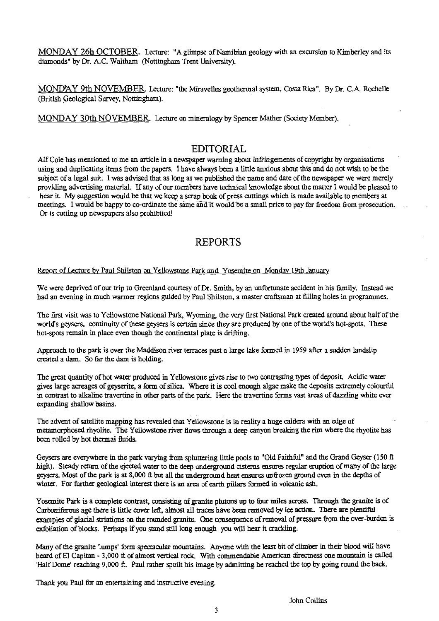MONDAY 26h OCTOBER Lecture: "A glimpse of Namibian geology with an excursion to Kimberley and its diamonds" by Dr. A.C. Waltham (Nottingham Trent University).

MONDAY 9th NOVEMBER Lecture: "the Miravelles geothermal system, Costa Rica". By Dr. C.A.. Rochelle (British Geological Survey, Nottingham).

MONDAY 30th NOVEMBER. Lecture on mineralogy by Spencer Mather (Society Member).

# EDITORIAL

Alf Cole has mentioned to me an article in a newspaper warning about infringements of copyright by organisations using and duplicating items from the papers. I have always been a little anxious about this and do not wish to be the subject of a legal suit. I was advised that as long as we published the name and date of the newspaper we were merely providing advertising material. If any of our members have technical knowledge about the matter I would be pleased to hear it. My suggestion would be that we keep a scrap book of press cuttings which is made available to members at meetings. I would be happy to co-ordinate the same and it would be a small price to pay for freedom from prosecution Or is cutting up newspapers also prohibited!

# REPORTS

# ort of Lecture by Paul Shilston on Yellowstone Park and Yosemite on Monday 19th Jan

We were deprived of our trip to Greenland courtesy of Dr. Smith, by an unfortunate accident in his family. Instead we had an evening in much warmer regions guided by Paul Shilston, a master craftsman at filling holes in programmes.

The first visit was to Yellowstone National Park, Wyoming, the very first National Park created around about half of the world's geysers. continuity of these geysers is certain since they are produced by one of the world's hot-spots. These hot-spots remain in place even though the continental plate is drifting.

Approach to the park is over the Maddison river terraces past a large lake formed in 1959 after a sudden landslip created a dam. So far the dam is holding.

The great quantity of hot water produced in Yellowstone gives rise to two contrasting types of deposit. Acidic water gives large acreages of geyserite, a form of silica. Where it is cool enough algae make the deposits extremely colourful in contrast to alkaline travertine in other parts of the park. Here the travertine forms vast areas of dazzling white ever expanding shallow basins.

The advent of satellite mapping has revealed that Yellowstone is in reality a huge caldera with an edge of metamorphosed rhyolite. The Yellowstone river flows through a deep canyon breaking the rim where the rhyolite has been rolled by hot thermal fluids.

Geysers are everywhere in the park varying from spluttering little pools to "Old Faithful" and the Grand Geyser (150 ft high). Steady return of the ejected water to the deep underground cisterns ensures regular eruption of many of the large geysers. Most of the park is at 8,000 **ft** but all the underground heat ensures unfrozen ground even in the depths of winter. For further geological interest there is an area of earth pillars formed in volcanic ash.

Yosemite Park is a complete contrast, consisting of granite plutons up to four miles across. Through the granite is of Carboniferous age there is little cover left, almost all traces have been removed by ice action. There are plentiful examples of glacial striations on the rounded granite. One consequence of removal of pressure from the over-burden is exfoliation of blocks. Perhaps if you stand still long enough you will hear it crackling.

Many of the granite 'lumps' form spectacular mountains. Anyone with the least bit of climber in their blood will have heard of E1 Capitan - 3,000 ft of almost vertical rock. With commendable American directness one mountain is called 'Half Dome' reaching 9,000 ft. Paul rather spoilt his image by admitting he reached the top by going round the back.

Thank you Paul for an entertaining and instructive evening.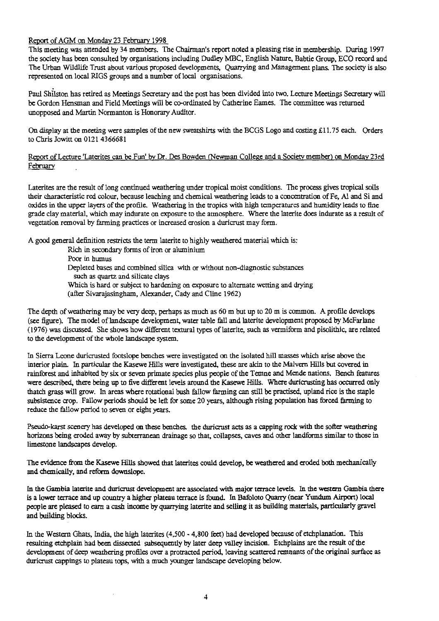# Report of AGM on Monday 23 February 1998

This meeting was attended by 34 members. The Chairman's report noted a pleasing rise in membership. During 1997 the society has been consulted by organisations including Dudley MBC, English Nature, Babtie Group, ECO record and The Urban Wildlife Trust about various proposed developments, Quarrying and Management plans. The society is also represented on local RIGS groups and a number of local organisations.

Paul Shilston has retired as Meetings Secretary and the post has been divided into two. Lecture Meetings Secretary will be Gordon Hensman and Field Meetings will be co-ordinated by Catherine Eames. The committee was returned unopposed and Martin Nornaanton is Honorary Auditor.

On display at the meeting were samples of the new sweatshirts with the BCGS Logo and costing £11.75 each. Orders to Chris Jowitt on 0121 4366681

Report of Lecture 'Laterites can be Fun' by Dr. Des Bowden (Newman College and a Society member) on Monday 23rd February

Laterites are the result of long continued weathering under tropical moist conditions. The process gives tropical soils their characteristic red colour, because leaching and chemical weathering leads to a concentration of Fe, Al and Si and oxides in the upper layers of the profile. Weathering in the tropics with high temperatures and humidity leads to fine grade clay material, which may indurate on exposure to the atmosphere. Where the laterite does indurate as a result of vegetation removal by farming practices or increased erosion a duricrust may form.

A good general definition restricts the term laterite to highly weathered material which is:

Rich in secondary forms of iron or aluminium Poor in humus Depleted bases and combined silica with or without non-diagnostic substances such as quartz and silicate clays Which is hard or subject to hardening on exposure to alternate wetting and drying (after Sivarajasingham, Alexander, Cady and Cline 1962)

The depth of weathering may be very deep, perhaps as much as 60 m but up to 20 m is common. A profile develops (see figure). The model of landscape development, water table fall and laterite development proposed by McFarlane (1976) was discussed. She shows how different textural types of laterite, such as vermiform and pisolithic, are related to the development of the whole landscape system.

In Sierra Leone duricrusted footslope benches were investigated on the isolated hill masses which arise above the interior plain. In particular the Kasewe Hills were investigated, these are akin to the Malvern Hills but covered in rainforest and inhabited by six or seven primate species *plus* people of the Temne and Mende nations. Bench features were described, there being up to five different levels around the Kasewe Hills. Where duricrusting has occurred only thatch grass will grow. In areas where rotational bush fallow farming can still be practised, upland rice is the staple subsistence crop. Fallow periods should be left for some 20 years, although rising population has forced farming to reduce *the* fallow period to seven or eight years.

Pseudo-karst scenery has developed on these benches, the duricrust acts as a capping rock with the softer weathering horizons being eroded away by subterranean drainage so that, collapses, caves and other landforms similar to those in limestone landscapes develop.

The evidence from the Kasewe Hills showed that laterites could develop, be weathered and eroded both mechanically and chemically, and reform downslope.

In the Gambia laterite and duricrust development are associated with major terrace levels. In the western Gambia there is a lower terrace and up country a higher plateau terrace is found. In Bafoloto Quarry (near Yundum Airport) Iocal people are pleased to earn a cash income by quarrying laterite and selling it as building materials, particularly gravel and building blocks.

In the Western Ghats, India, the high laterites (4,500 - 4,800 feet) had developed because of etchplanation. This resulting ctchplain had been dissected subsequently by later deep valley incision. Etchplains are the result of the development of deep weathering profiles over a protracted period, leaving scattered remnants of the original surface as duricrust cappings to plateau tops, with a much younger landscape developing below.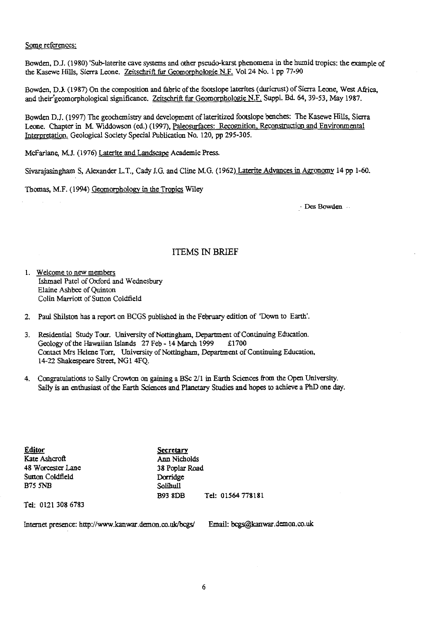Some references:

Bowden, D.J. (1980)'Sub-laterite cave systems and other pseudo-karst phenomena in the humid tropics: the example of the Kasewe Hills, Sierra Leone. Zeitschrift fur Geomorphologic N.F. Vol 24 No. 1 pp 77-90

Bowden, D.J. (1987) On the composition and fabric of the footslope laterites (duricrust) of Sierra Leone, West Africa, and their geomorphological significance. Zeitschrift fur Geomorphologie N.F. Suppl. Bd. 64, 39-53, May 1987.

Bowden D.J. (1997) The geochemistry and development of lateritized footsiope benches: The Kasewe Hills, Sierra Leone. Chapter in M. Widdowson (ed.) (1997), Paleosurfaces: Recognition, Reconstruction and Environmental Interpretation. Geological Society Special Publication No. 120, pp 295-305. and their geomorphological significance. <u>Zeitschrift fur Geomorphologie N</u><br>Bowden D.J. (1997) The geochemistry and development of lateritized foots<br>Leone. Chapter in M. Widdowson (ed.) (1997), <u>Paleosurfaces: Recognitic</u><br>

McFarlane, M.J. (1976) Laterite and Landscape Academic Press.

Sivarajasingham S. Alexander L.T., Cady J.G. and Cline M.G. (1962) Laterite Advances in Agronomy 14 pp 1-60.

Thomas, M.F. (1994) Geomorphology in the Tropics Wiley

- Des Bowden

### ITEMS IN BRIEF

- 1. Welcome to new members Ishmael Patel of Oxford and Wednesbury Elaine Ashbee of Quinton Colin Marriott of Sutton Coldfield
- 2. Paul Shilston has a report on BCGS published in the February edition of 'Down to Earth'.
- 3. Residential Study Tour. University of Nottingham, Department of Continuing Education.<br>Geology of the Hawaiian Islands 27 Feb 14 March 1999 £1700 Geology of the Hawaiian Islands  $27$  Feb - 14 March 1999 Contact Mrs Helene Torr, University of *Nottingham,* Department of Continuing Education, 14-22 Shakespeare Street, NG1 4FQ.
- 4. Congratulations to Sally Crowton on gaining a BSc 2/1 in Earth Sciences from the Open University. Sally is an enthusiast of the Earth Sciences and Planetary Studies and hopes to achieve a PhD one day.

**Editor**<br> **Kate Ashcroft**<br> **Kate Ashcroft**<br> **Secretary** 48 Worcester Lane 38 Poplar Road Sutton Coldfield Dorridge<br>B75 5NB Solibull  $B75$   $5NR$ 

Ann Nicholds<br>38 Poplar Road B93 8DB Tel: 01564 778181

Tel: 0121 308 6783

Internet presence: http://www.kanwar.demon.co.uk/bcgs/ Email: bcgs[akanwar.demon.co.uk